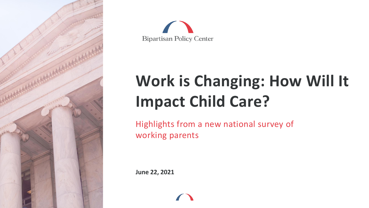



### **Work is Changing: How Will It Impact Child Care?**

Highlights from a new national survey of working parents

**June 22, 2021**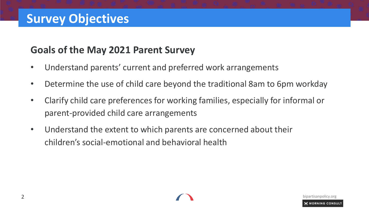#### **Goals of the May 2021 Parent Survey**

- Understand parents' current and preferred work arrangements
- Determine the use of child care beyond the traditional 8am to 6pm workday
- Clarify child care preferences for working families, especially for informal or parent-provided child care arrangements
- Understand the extent to which parents are concerned about their children's social-emotional and behavioral health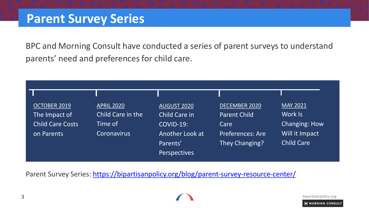BPC and Morning Consult have conducted a series of parent surveys to understand parents' need and preferences for child care.

| OCTOBER 2019     | <b>APRIL 2020</b>  | <b>AUGUST 2020</b>        | DECEMBER 2020       | <b>MAY 2021</b>      |
|------------------|--------------------|---------------------------|---------------------|----------------------|
| The Impact of    | Child Care in the  | <b>Child Care in</b>      | <b>Parent Child</b> | Work Is              |
| Child Care Costs | Time of            | <b>COVID-19:</b>          | Care                | <b>Changing: How</b> |
| on Parents       | <b>Coronavirus</b> | Another Look at           | Preferences: Are    | Will it Impact       |
|                  |                    | Parents'                  | They Changing?      | <b>Child Care</b>    |
|                  |                    | Perspectives <sup>1</sup> |                     |                      |

Parent Survey Series:<https://bipartisanpolicy.org/blog/parent-survey-resource-center/>

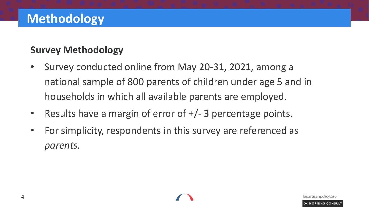#### **Survey Methodology**

- Survey conducted online from May 20-31, 2021, among a national sample of 800 parents of children under age 5 and in households in which all available parents are employed.
- Results have a margin of error of  $+/- 3$  percentage points.
- For simplicity, respondents in this survey are referenced as *parents.*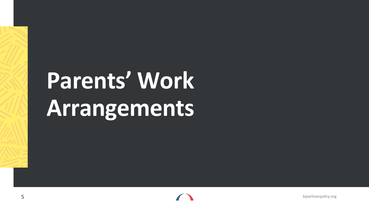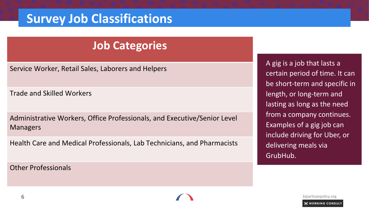### **Survey Job Classifications**

#### **Job Categories**

Service Worker, Retail Sales, Laborers and Helpers

Trade and Skilled Workers

Administrative Workers, Office Professionals, and Executive/Senior Level Managers

Health Care and Medical Professionals, Lab Technicians, and Pharmacists

Other Professionals

A gig is a job that lasts a certain period of time. It can be short-term and specific in length, or long-term and lasting as long as the need from a company continues. Examples of a gig job can include driving for Uber, or delivering meals via GrubHub.

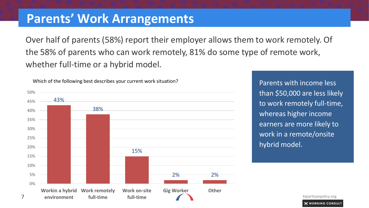Over half of parents (58%) report their employer allows them to work remotely. Of the 58% of parents who can work remotely, 81% do some type of remote work, whether full-time or a hybrid model.



than \$50,000 are less likely to work remotely full-time, whereas higher income earners are more likely to work in a remote/onsite hybrid model.

Parents with income less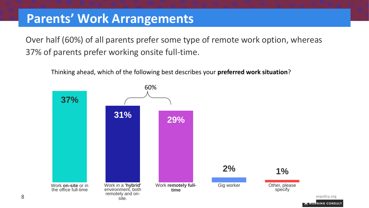Over half (60%) of all parents prefer some type of remote work option, whereas 37% of parents prefer working onsite full-time.

Thinking ahead, which of the following best describes your **preferred work situation**?

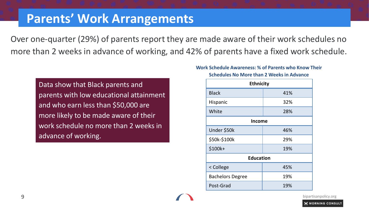Over one-quarter (29%) of parents report they are made aware of their work schedules no more than 2 weeks in advance of working, and 42% of parents have a fixed work schedule.

Data show that Black parents and parents with low educational attainment and who earn less than \$50,000 are more likely to be made aware of their work schedule no more than 2 weeks in advance of working.

#### **Work Schedule Awareness: % of Parents who Know Their**

**Schedules No More than 2 Weeks in Advance**

| <b>Ethnicity</b>        |     |  |  |  |  |  |  |  |
|-------------------------|-----|--|--|--|--|--|--|--|
| <b>Black</b>            | 41% |  |  |  |  |  |  |  |
| Hispanic                | 32% |  |  |  |  |  |  |  |
| White                   | 28% |  |  |  |  |  |  |  |
| <b>Income</b>           |     |  |  |  |  |  |  |  |
| Under \$50k             | 46% |  |  |  |  |  |  |  |
| \$50k-\$100k            | 29% |  |  |  |  |  |  |  |
| \$100k+                 | 19% |  |  |  |  |  |  |  |
| <b>Education</b>        |     |  |  |  |  |  |  |  |
| < College               | 45% |  |  |  |  |  |  |  |
| <b>Bachelors Degree</b> | 19% |  |  |  |  |  |  |  |
| Post-Grad               | 19% |  |  |  |  |  |  |  |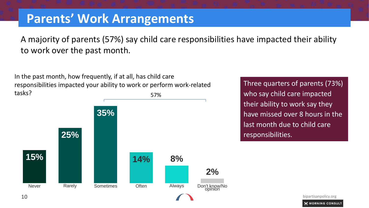A majority of parents (57%) say child care responsibilities have impacted their ability to work over the past month.

57% In the past month, how frequently, if at all, has child care responsibilities impacted your ability to work or perform work-related tasks?



Three quarters of parents (73%) who say child care impacted their ability to work say they have missed over 8 hours in the last month due to child care responsibilities.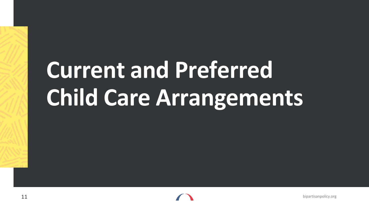## **Current and Preferred Child Care Arrangements**

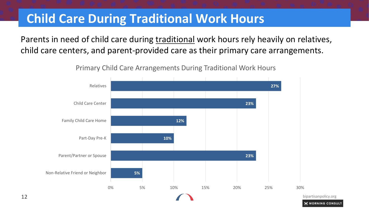### **Child Care During Traditional Work Hours**

Parents in need of child care during traditional work hours rely heavily on relatives, child care centers, and parent-provided care as their primary care arrangements.

12 **bipartisanpolicy.org 5% 23% 10% 12% 23% 27%** 0% 5% 10% 15% 20% 25% 30% Non-Relative Friend or Neighbor Parent/Partner or Spouse Part-Day Pre-K Family Child Care Home Child Care Center Relatives

Primary Child Care Arrangements During Traditional Work Hours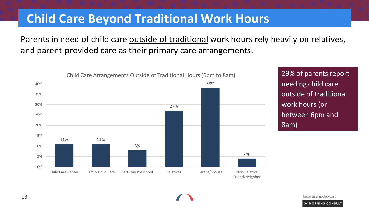#### **Child Care Beyond Traditional Work Hours**

#### Parents in need of child care outside of traditional work hours rely heavily on relatives, and parent-provided care as their primary care arrangements.



needing child care outside of traditional work hours (or between 6pm and 8am)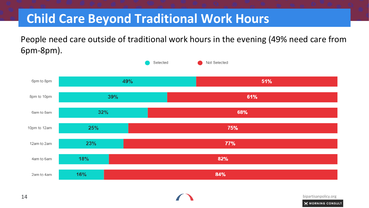### **Child Care Beyond Traditional Work Hours**

People need care outside of traditional work hours in the evening (49% need care from 6pm-8pm).

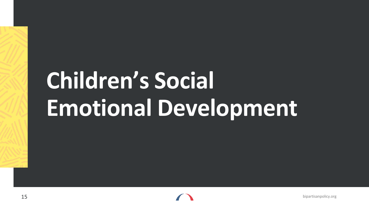# **Children's Social Emotional Development**

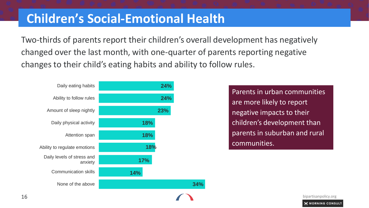#### **Children's Social-Emotional Health**

Two-thirds of parents report their children's overall development has negatively changed over the last month, with one-quarter of parents reporting negative changes to their child's eating habits and ability to follow rules.



Parents in urban communities are more likely to report negative impacts to their children's development than parents in suburban and rural communities.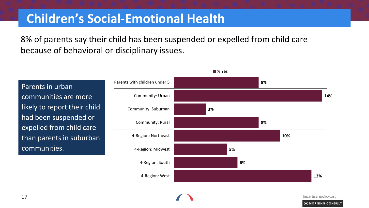### **Children's Social-Emotional Health**

8% of parents say their child has been suspended or expelled from child care because of behavioral or disciplinary issues.

Parents in urban communities are more likely to report their child had been suspended or expelled from child care than parents in suburban communities.



■% Yes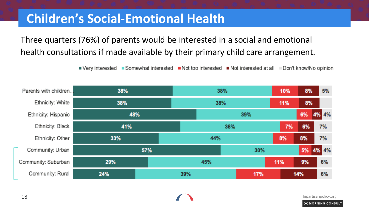### **Children's Social-Emotional Health**

Three quarters (76%) of parents would be interested in a social and emotional health consultations if made available by their primary child care arrangement.

■ Very interested ■ Somewhat interested ■ Not too interested ■ Not interested at all ■ Don't know/No opinion

| Parents with children | 38% |  | 38% |     |     |     | 10% | 8%    | 5%    |
|-----------------------|-----|--|-----|-----|-----|-----|-----|-------|-------|
| Ethnicity: White      | 38% |  |     | 38% |     |     |     | 8%    |       |
| Ethnicity: Hispanic   | 48% |  |     | 39% |     |     |     | 6%    | 4% 4% |
| Ethnicity: Black      | 41% |  |     | 38% |     |     |     | 6%    | 7%    |
| Ethnicity: Other      | 33% |  |     | 44% |     |     | 8%  | 8%    | 7%    |
| Community: Urban      | 57% |  |     |     | 30% |     | 5%  | 4% 4% |       |
| Community: Suburban   | 29% |  |     | 45% |     |     | 11% | 9%    | 6%    |
| Community: Rural      | 24% |  | 39% |     |     | 17% |     | 14%   | 6%    |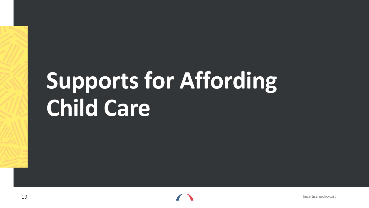## **Supports for Affording Child Care**

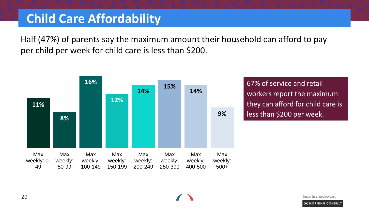### **Child Care Affordability**

Half (47%) of parents say the maximum amount their household can afford to pay per child per week for child care is less than \$200.



67% of service and retail workers report the maximum they can afford for child care is less than \$200 per week.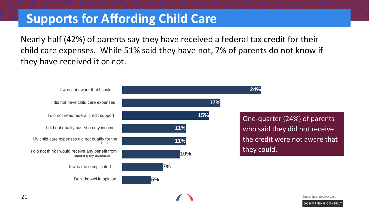### **Supports for Affording Child Care**

Nearly half (42%) of parents say they have received a federal tax credit for their child care expenses. While 51% said they have not, 7% of parents do not know if they have received it or not.



extending the contract of the contract of the contract of the contract of the contract of the contract of the contract of the contract of the contract of the contract of the contract of the contract of the contract of the **MORNING CONSULT**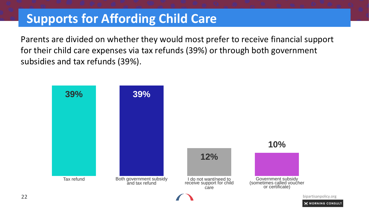### **Supports for Affording Child Care**

Parents are divided on whether they would most prefer to receive financial support for their child care expenses via tax refunds (39%) or through both government subsidies and tax refunds (39%).

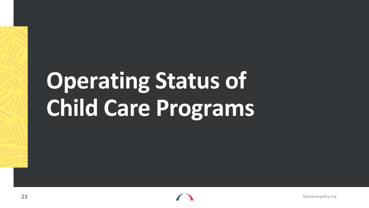## **Operating Status of Child Care Programs**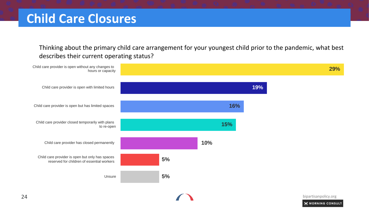Thinking about the primary child care arrangement for your youngest child prior to the pandemic, what best describes their current operating status?

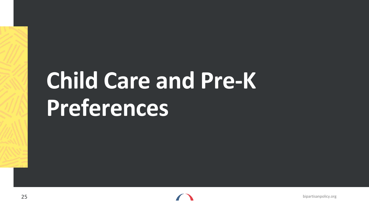## **Child Care and Pre-K Preferences**

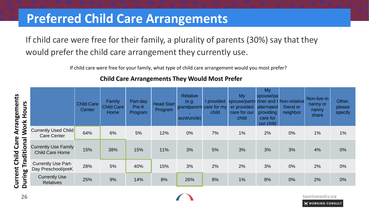#### **Preferred Child Care Arrangements**

If child care were free for their family, a plurality of parents (30%) say that they would prefer the child care arrangement they currently use.

If child care were free for your family, what type of child care arrangement would you most prefer?

| Hours<br>Work<br>Traditional<br>During |                                                       | <b>Child Care</b><br>Center | Family<br><b>Child Care</b><br>Home | Part-day<br>Pre-K<br>Program | <b>Head Start</b><br>Program | <b>Relative</b><br>(e.g.<br>grandparent care for my<br>aunt/uncle) | I provided<br>child | My<br>spouse/partn<br>er provided<br>care for our<br>child | My<br>spouse/pa<br>alternated<br>providing<br>care for<br>our child | <b>rtner and I Non-relative</b><br>friend or<br>neighbor | Non-live-in<br>nanny or<br>nanny<br>share | Other,<br>please<br>specify |
|----------------------------------------|-------------------------------------------------------|-----------------------------|-------------------------------------|------------------------------|------------------------------|--------------------------------------------------------------------|---------------------|------------------------------------------------------------|---------------------------------------------------------------------|----------------------------------------------------------|-------------------------------------------|-----------------------------|
|                                        | <b>Currently Used Child</b><br><b>Care Center</b>     | 64%                         | 6%                                  | 5%                           | 12%                          | $0\%$                                                              | 7%                  | 1%                                                         | 2%                                                                  | 0%                                                       | 1%                                        | 1%                          |
|                                        | <b>Currently Use Family</b><br><b>Child Care Home</b> | 15%                         | 38%                                 | 15%                          | 11%                          | 3%                                                                 | 5%                  | 3%                                                         | 3%                                                                  | 3%                                                       | 4%                                        | 0%                          |
|                                        | <b>Currently Use Part-</b><br>Day Preschool/preK      | 28%                         | 5%                                  | 40%                          | 15%                          | 3%                                                                 | 2%                  | 2%                                                         | 3%                                                                  | $0\%$                                                    | 2%                                        | 0%                          |
|                                        | <b>Currently Use</b><br><b>Relatives</b>              | 25%                         | 9%                                  | 14%                          | 8%                           | 26%                                                                | 8%                  | 1%                                                         | 8%                                                                  | 0%                                                       | 2%                                        | 0%                          |

Parents with income less

MORNING CONSULT

#### **Child Care Arrangements They Would Most Prefer**

**Current Child Care Arrangements**  Current Child Care Arrangements extending the contract of the contract of the contract of the contract of the contract of the contract of the contract of the contract of the contract of the contract of the contract of the contract of the contract of the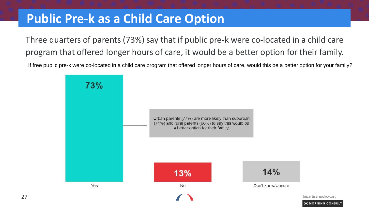#### **Public Pre-k as a Child Care Option**

Three quarters of parents (73%) say that if public pre-k were co-located in a child care program that offered longer hours of care, it would be a better option for their family.

If free public pre-k were co-located in a child care program that offered longer hours of care, would this be a better option for your family?

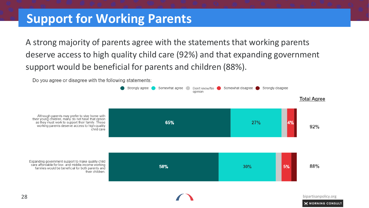#### **Support for Working Parents**

A strong majority of parents agree with the statements that working parents deserve access to high quality child care (92%) and that expanding government support would be beneficial for parents and children (88%).

Do you agree or disagree with the following statements:

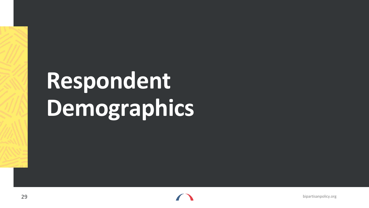## **Respondent Demographics**

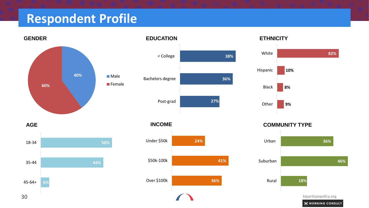### **Respondent Profile**



#### **EDUCATION**



#### **INCOME**



#### **ETHNICITY**



**COMMUNITY TYPE** 



**50% 44% 6%** 18-34 35-44 45-64+

**AGE**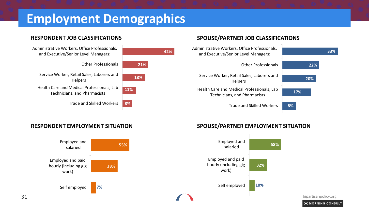### **Employment Demographics**



#### **SPOUSE/PARTNER JOB CLASSIFICATIONS**



#### **RESPONDENT EMPLOYMENT SITUATION SPOUSE/PARTNER EMPLOYMENT SITUATION**

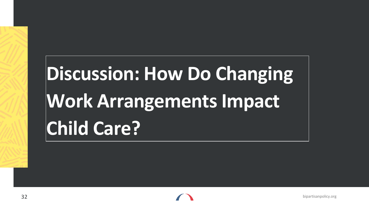## **Discussion: How Do Changing Work Arrangements Impact Child Care?**